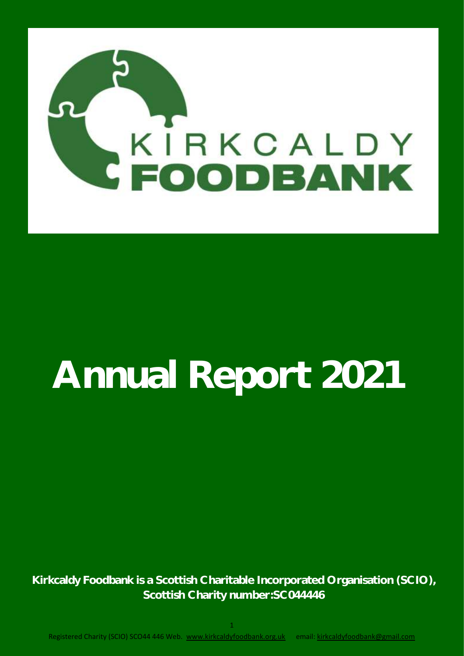

# **Annual Report 2021**

**Kirkcaldy Foodbank is a Scottish Charitable Incorporated Organisation (SCIO), Scottish Charity number:SC044446**

1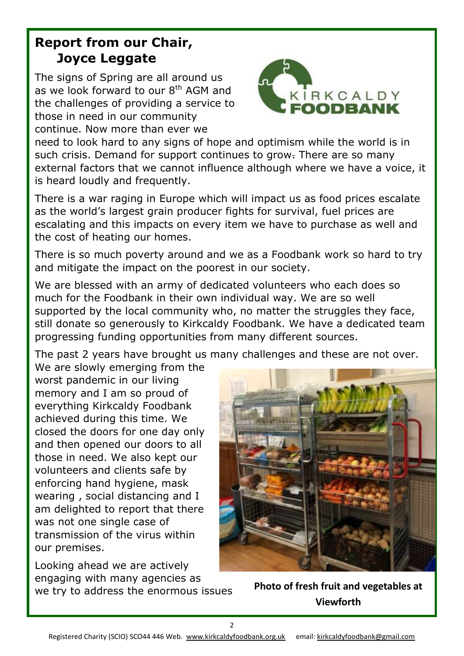### **Report from our Chair, Joyce Leggate**

The signs of Spring are all around us as we look forward to our  $8<sup>th</sup>$  AGM and the challenges of providing a service to those in need in our community continue. Now more than ever we



need to look hard to any signs of hope and optimism while the world is in such crisis. Demand for support continues to grow. There are so many external factors that we cannot influence although where we have a voice, it is heard loudly and frequently.

There is a war raging in Europe which will impact us as food prices escalate as the world's largest grain producer fights for survival, fuel prices are escalating and this impacts on every item we have to purchase as well and the cost of heating our homes.

There is so much poverty around and we as a Foodbank work so hard to try and mitigate the impact on the poorest in our society.

We are blessed with an army of dedicated volunteers who each does so much for the Foodbank in their own individual way. We are so well supported by the local community who, no matter the struggles they face, still donate so generously to Kirkcaldy Foodbank. We have a dedicated team progressing funding opportunities from many different sources.

The past 2 years have brought us many challenges and these are not over.

We are slowly emerging from the worst pandemic in our living memory and I am so proud of everything Kirkcaldy Foodbank achieved during this time. We closed the doors for one day only and then opened our doors to all those in need. We also kept our volunteers and clients safe by enforcing hand hygiene, mask wearing , social distancing and I am delighted to report that there was not one single case of transmission of the virus within our premises.

Looking ahead we are actively engaging with many agencies as we try to address the enormous issues **Photo of fresh fruit and vegetables at** 



**Viewforth**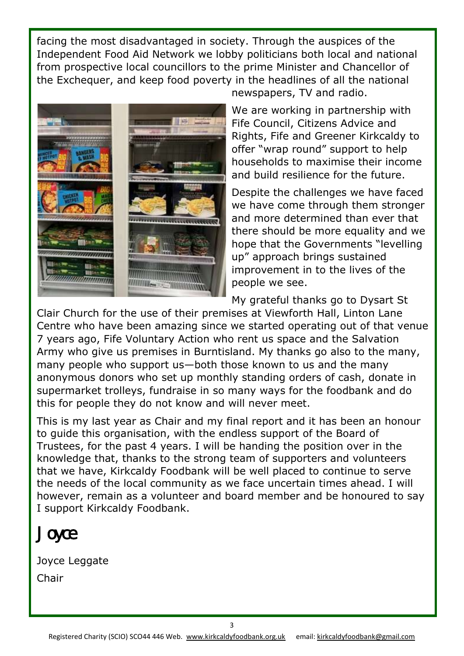facing the most disadvantaged in society. Through the auspices of the Independent Food Aid Network we lobby politicians both local and national from prospective local councillors to the prime Minister and Chancellor of the Exchequer, and keep food poverty in the headlines of all the national



newspapers, TV and radio.

We are working in partnership with Fife Council, Citizens Advice and Rights, Fife and Greener Kirkcaldy to offer "wrap round" support to help households to maximise their income and build resilience for the future.

Despite the challenges we have faced we have come through them stronger and more determined than ever that there should be more equality and we hope that the Governments "levelling up" approach brings sustained improvement in to the lives of the people we see.

My grateful thanks go to Dysart St

Clair Church for the use of their premises at Viewforth Hall, Linton Lane Centre who have been amazing since we started operating out of that venue 7 years ago, Fife Voluntary Action who rent us space and the Salvation Army who give us premises in Burntisland. My thanks go also to the many, many people who support us—both those known to us and the many anonymous donors who set up monthly standing orders of cash, donate in supermarket trolleys, fundraise in so many ways for the foodbank and do this for people they do not know and will never meet.

This is my last year as Chair and my final report and it has been an honour to guide this organisation, with the endless support of the Board of Trustees, for the past 4 years. I will be handing the position over in the knowledge that, thanks to the strong team of supporters and volunteers that we have, Kirkcaldy Foodbank will be well placed to continue to serve the needs of the local community as we face uncertain times ahead. I will however, remain as a volunteer and board member and be honoured to say I support Kirkcaldy Foodbank.

Joyce

Joyce Leggate Chair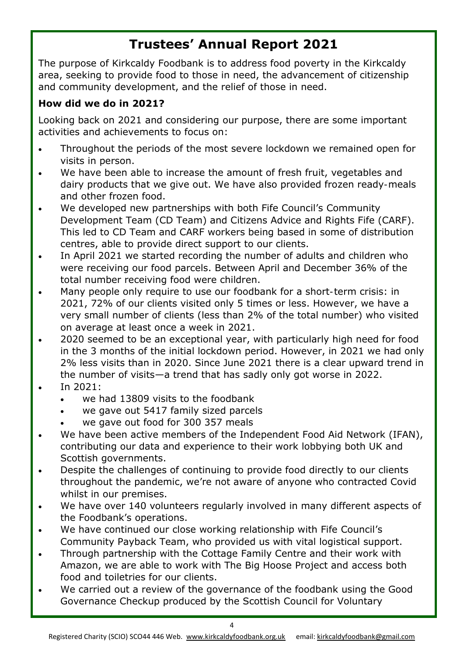### **Trustees' Annual Report 2021**

The purpose of Kirkcaldy Foodbank is to address food poverty in the Kirkcaldy area, seeking to provide food to those in need, the advancement of citizenship and community development, and the relief of those in need.

#### **How did we do in 2021?**

Looking back on 2021 and considering our purpose, there are some important activities and achievements to focus on:

- Throughout the periods of the most severe lockdown we remained open for visits in person.
- We have been able to increase the amount of fresh fruit, vegetables and dairy products that we give out. We have also provided frozen ready-meals and other frozen food.
- We developed new partnerships with both Fife Council's Community Development Team (CD Team) and Citizens Advice and Rights Fife (CARF). This led to CD Team and CARF workers being based in some of distribution centres, able to provide direct support to our clients.
- In April 2021 we started recording the number of adults and children who were receiving our food parcels. Between April and December 36% of the total number receiving food were children.
- Many people only require to use our foodbank for a short-term crisis: in 2021, 72% of our clients visited only 5 times or less. However, we have a very small number of clients (less than 2% of the total number) who visited on average at least once a week in 2021.
- 2020 seemed to be an exceptional year, with particularly high need for food in the 3 months of the initial lockdown period. However, in 2021 we had only 2% less visits than in 2020. Since June 2021 there is a clear upward trend in the number of visits—a trend that has sadly only got worse in 2022.
- In 2021:
	- we had 13809 visits to the foodbank
	- we gave out 5417 family sized parcels
	- we gave out food for 300 357 meals
- We have been active members of the Independent Food Aid Network (IFAN), contributing our data and experience to their work lobbying both UK and Scottish governments.
- Despite the challenges of continuing to provide food directly to our clients throughout the pandemic, we're not aware of anyone who contracted Covid whilst in our premises.
- We have over 140 volunteers regularly involved in many different aspects of the Foodbank's operations.
- We have continued our close working relationship with Fife Council's Community Payback Team, who provided us with vital logistical support.
- Through partnership with the Cottage Family Centre and their work with Amazon, we are able to work with The Big Hoose Project and access both food and toiletries for our clients.
- We carried out a review of the governance of the foodbank using the Good Governance Checkup produced by the Scottish Council for Voluntary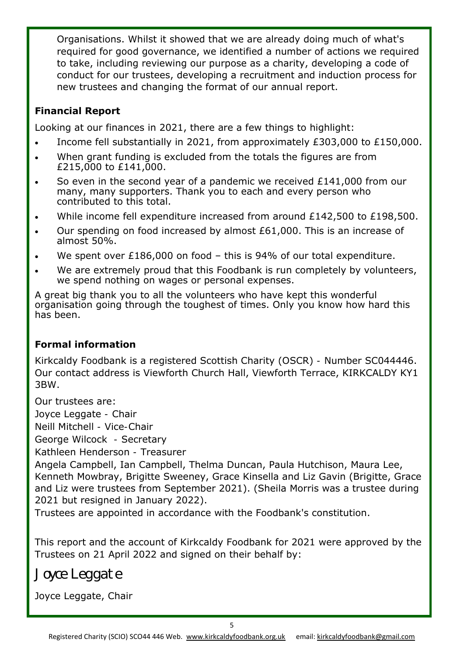Organisations. Whilst it showed that we are already doing much of what's required for good governance, we identified a number of actions we required to take, including reviewing our purpose as a charity, developing a code of conduct for our trustees, developing a recruitment and induction process for new trustees and changing the format of our annual report.

#### **Financial Report**

Looking at our finances in 2021, there are a few things to highlight:

- Income fell substantially in 2021, from approximately £303,000 to £150,000.
- When grant funding is excluded from the totals the figures are from £215,000 to £141,000.
- So even in the second vear of a pandemic we received £141,000 from our many, many supporters. Thank you to each and every person who contributed to this total.
- While income fell expenditure increased from around £142,500 to £198,500.
- Our spending on food increased by almost £61,000. This is an increase of almost 50%.
- We spent over £186,000 on food this is 94% of our total expenditure.
- We are extremely proud that this Foodbank is run completely by volunteers, we spend nothing on wages or personal expenses.

A great big thank you to all the volunteers who have kept this wonderful organisation going through the toughest of times. Only you know how hard this has been.

#### **Formal information**

Kirkcaldy Foodbank is a registered Scottish Charity (OSCR) - Number SC044446. Our contact address is Viewforth Church Hall, Viewforth Terrace, KIRKCALDY KY1 3BW.

Our trustees are:

Joyce Leggate - Chair

Neill Mitchell - Vice-Chair

George Wilcock - Secretary

Kathleen Henderson - Treasurer

Angela Campbell, Ian Campbell, Thelma Duncan, Paula Hutchison, Maura Lee, Kenneth Mowbray, Brigitte Sweeney, Grace Kinsella and Liz Gavin (Brigitte, Grace and Liz were trustees from September 2021). (Sheila Morris was a trustee during 2021 but resigned in January 2022).

Trustees are appointed in accordance with the Foodbank's constitution.

This report and the account of Kirkcaldy Foodbank for 2021 were approved by the Trustees on 21 April 2022 and signed on their behalf by:

Joyce Leggate

Joyce Leggate, Chair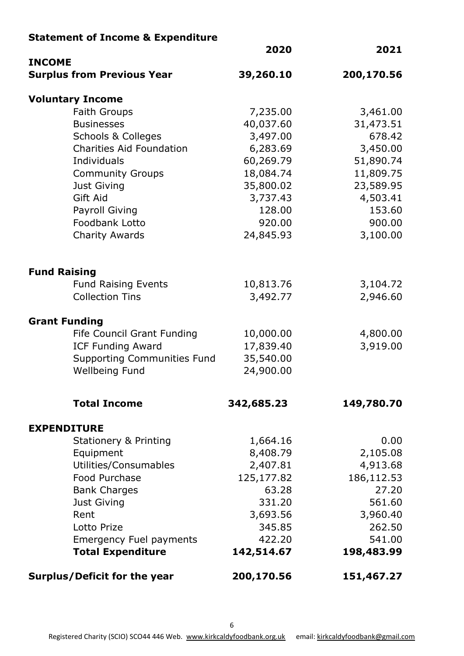#### **Statement of Income & Expenditure**

| <b>INCOME</b>                       | 2020       | 2021       |
|-------------------------------------|------------|------------|
| <b>Surplus from Previous Year</b>   | 39,260.10  | 200,170.56 |
| <b>Voluntary Income</b>             |            |            |
| <b>Faith Groups</b>                 | 7,235.00   | 3,461.00   |
| <b>Businesses</b>                   | 40,037.60  | 31,473.51  |
| <b>Schools &amp; Colleges</b>       | 3,497.00   | 678.42     |
| <b>Charities Aid Foundation</b>     | 6,283.69   | 3,450.00   |
| Individuals                         | 60,269.79  | 51,890.74  |
| <b>Community Groups</b>             | 18,084.74  | 11,809.75  |
| Just Giving                         | 35,800.02  | 23,589.95  |
| <b>Gift Aid</b>                     | 3,737.43   | 4,503.41   |
| Payroll Giving                      | 128.00     | 153.60     |
| Foodbank Lotto                      | 920.00     | 900.00     |
| <b>Charity Awards</b>               | 24,845.93  | 3,100.00   |
| <b>Fund Raising</b>                 |            |            |
| <b>Fund Raising Events</b>          | 10,813.76  | 3,104.72   |
| <b>Collection Tins</b>              | 3,492.77   | 2,946.60   |
| <b>Grant Funding</b>                |            |            |
| Fife Council Grant Funding          | 10,000.00  | 4,800.00   |
| <b>ICF Funding Award</b>            | 17,839.40  | 3,919.00   |
| <b>Supporting Communities Fund</b>  | 35,540.00  |            |
| Wellbeing Fund                      | 24,900.00  |            |
| <b>Total Income</b>                 | 342,685.23 | 149,780.70 |
| <b>EXPENDITURE</b>                  |            |            |
| <b>Stationery &amp; Printing</b>    | 1,664.16   | 0.00       |
| Equipment                           | 8,408.79   | 2,105.08   |
| Utilities/Consumables               | 2,407.81   | 4,913.68   |
| Food Purchase                       | 125,177.82 | 186,112.53 |
| <b>Bank Charges</b>                 | 63.28      | 27.20      |
| Just Giving                         | 331.20     | 561.60     |
| Rent                                | 3,693.56   | 3,960.40   |
| Lotto Prize                         | 345.85     | 262.50     |
| <b>Emergency Fuel payments</b>      | 422.20     | 541.00     |
| <b>Total Expenditure</b>            | 142,514.67 | 198,483.99 |
| <b>Surplus/Deficit for the year</b> | 200,170.56 | 151,467.27 |

Registered Charity (SCIO) SCO44 446 Web. [www.kirkcaldyfoodbank.org.uk](http://www.kirkcaldyfoodbank.org.uk) email: [kirkcaldyfoodbank@gmail.com](mailto:kirkcaldyfoodbank@gmail.com)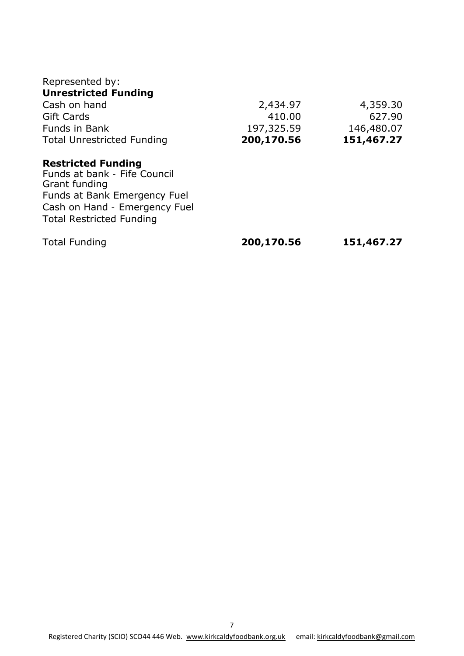| Represented by:                                                            |            |            |
|----------------------------------------------------------------------------|------------|------------|
| <b>Unrestricted Funding</b>                                                |            |            |
| Cash on hand                                                               | 2,434.97   | 4,359.30   |
| <b>Gift Cards</b>                                                          | 410.00     | 627.90     |
| Funds in Bank                                                              | 197,325.59 | 146,480.07 |
| <b>Total Unrestricted Funding</b>                                          | 200,170.56 | 151,467.27 |
| <b>Restricted Funding</b><br>Funds at bank - Fife Council<br>Grant funding |            |            |
| Funds at Bank Emergency Fuel                                               |            |            |
| Cash on Hand - Emergency Fuel                                              |            |            |
| <b>Total Restricted Funding</b>                                            |            |            |
| <b>Total Funding</b>                                                       | 200,170.56 | 151,467.27 |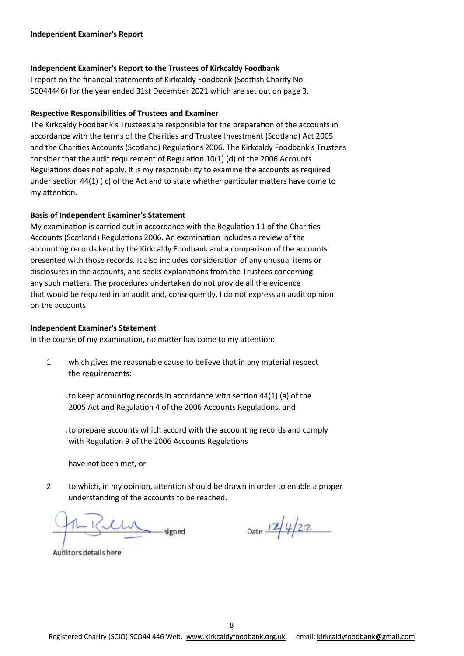#### **Independent Examiner's Report to the Trustees of Kirkcaldy Foodbank**

I report on the financial statements of Kirkcaldy Foodbank (Scottish Charity No. SC044446) for the year ended 31st December 2021 which are set out on page 3.

#### **Respective Responsibilities of Trustees and Examiner**

The Kirkcaldy Foodbank's Trustees are responsible for the preparation of the accounts in accordance with the terms of the Charities and Trustee Investment (Scotland) Act 2005 and the Charities Accounts (Scotland) Regulations 2006. The Kirkcaldy Foodbank's Trustees consider that the audit requirement of Regulation 10(1) (d) of the 2006 Accounts Regulations does not apply. It is my responsibility to examine the accounts as required under section 44(1) ( c) of the Act and to state whether particular matters have come to my attention.

#### **Basis of Independent Examiner's Statement**

My examination is carried out in accordance with the Regulation 11 of the Charities Accounts (Scotland) Regulations 2006. An examination includes a review of the accounting records kept by the Kirkcaldy Foodbank and a comparison of the accounts presented with those records. It also includes consideration of any unusual items or disclosures in the accounts, and seeks explanations from the Trustees concerning any such matters. The procedures undertaken do not provide all the evidence that would be required in an audit and, consequently, I do not express an audit opinion on the accounts.

#### **Independent Examiner's Statement**

In the course of my examination, no matter has come to my attention:

- 1 which gives me reasonable cause to believe that in any material respect the requirements:
	- **.**to keep accounting records in accordance with section 44(1) (a) of the 2005 Act and Regulation 4 of the 2006 Accounts Regulations, and
	- **.**to prepare accounts which accord with the accounting records and comply with Regulation 9 of the 2006 Accounts Regulations

have not been met, or

2 to which, in my opinion, attention should be drawn in order to enable a proper understanding of the accounts to be reached.

Date  $12/4/22$ 

Auditors details here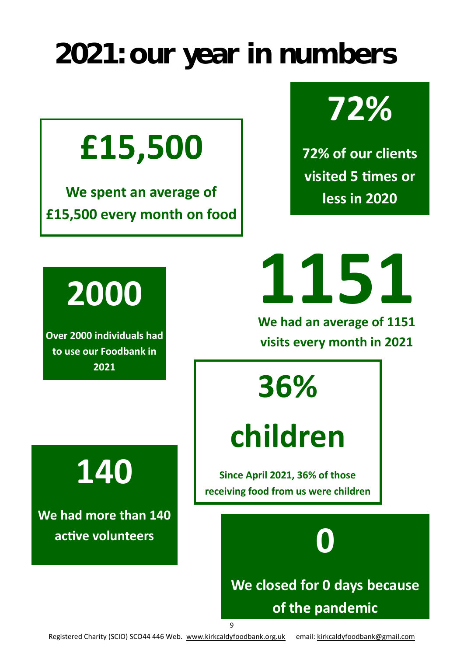### **2021: our year in numbers**

## **£15,500**

**We spent an average of £15,500 every month on food**



**72% of our clients visited 5 times or less in 2020**

## **2000**

**Over 2000 individuals had to use our Foodbank in 2021**

**1151**

**We had an average of 1151 visits every month in 2021**

**36%** 

## **children**

**Since April 2021, 36% of those receiving food from us were children**



**140**

**We had more than 140 active volunteers**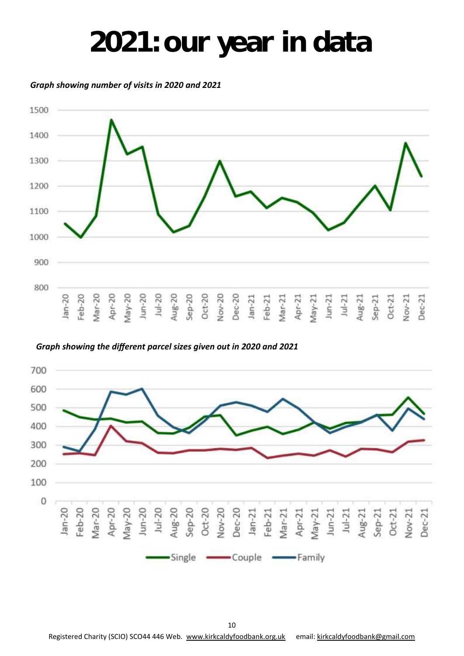### **2021: our year in data**

*Graph showing number of visits in 2020 and 2021*



*Graph showing the different parcel sizes given out in 2020 and 2021*



Registered Charity (SCIO) SCO44 446 Web. [www.kirkcaldyfoodbank.org.uk](http://www.kirkcaldyfoodbank.org.uk) email: [kirkcaldyfoodbank@gmail.com](mailto:kirkcaldyfoodbank@gmail.com)